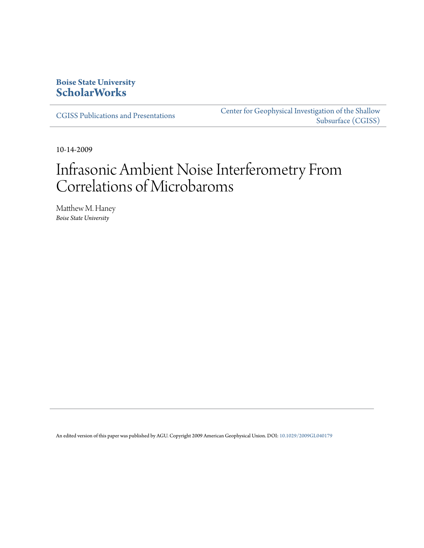## **Boise State University [ScholarWorks](https://scholarworks.boisestate.edu)**

[CGISS Publications and Presentations](https://scholarworks.boisestate.edu/cgiss_facpubs)

[Center for Geophysical Investigation of the Shallow](https://scholarworks.boisestate.edu/cgiss) [Subsurface \(CGISS\)](https://scholarworks.boisestate.edu/cgiss)

10-14-2009

# Infrasonic Ambient Noise Interferometry From Correlations of Microbaroms

Matthew M. Haney *Boise State University*

An edited version of this paper was published by AGU. Copyright 2009 American Geophysical Union. DOI: [10.1029/2009GL040179](http://dx.doi.org/10.1029/2009GL040179)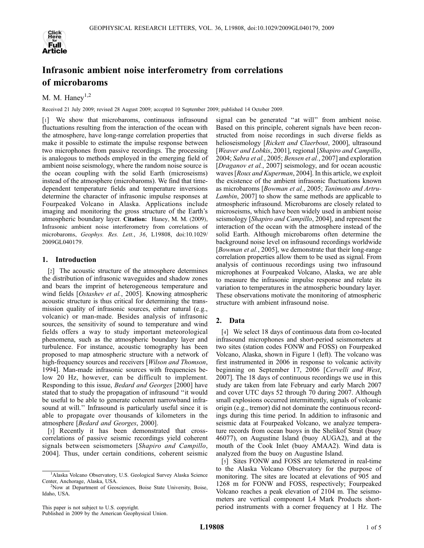

# Infrasonic ambient noise interferometry from correlations of microbaroms

## M. M. Hane $v^{1,2}$

Received 21 July 2009; revised 28 August 2009; accepted 10 September 2009; published 14 October 2009.

[1] We show that microbaroms, continuous infrasound fluctuations resulting from the interaction of the ocean with the atmosphere, have long-range correlation properties that make it possible to estimate the impulse response between two microphones from passive recordings. The processing is analogous to methods employed in the emerging field of ambient noise seismology, where the random noise source is the ocean coupling with the solid Earth (microseisms) instead of the atmosphere (microbaroms). We find that timedependent temperature fields and temperature inversions determine the character of infrasonic impulse responses at Fourpeaked Volcano in Alaska. Applications include imaging and monitoring the gross structure of the Earth's atmospheric boundary layer. Citation: Haney, M. M. (2009), Infrasonic ambient noise interferometry from correlations of microbaroms, Geophys. Res. Lett., 36, L19808, doi:10.1029/ 2009GL040179.

### 1. Introduction

[2] The acoustic structure of the atmosphere determines the distribution of infrasonic waveguides and shadow zones and bears the imprint of heterogeneous temperature and wind fields [Ostashev et al., 2005]. Knowing atmospheric acoustic structure is thus critical for determining the transmission quality of infrasonic sources, either natural (e.g., volcanic) or man-made. Besides analysis of infrasonic sources, the sensitivity of sound to temperature and wind fields offers a way to study important meteorological phenomena, such as the atmospheric boundary layer and turbulence. For instance, acoustic tomography has been proposed to map atmospheric structure with a network of high-frequency sources and receivers [Wilson and Thomson, 1994]. Man-made infrasonic sources with frequencies below 20 Hz, however, can be difficult to implement. Responding to this issue, Bedard and Georges [2000] have stated that to study the propagation of infrasound ''it would be useful to be able to generate coherent narrowband infrasound at will.'' Infrasound is particularly useful since it is able to propagate over thousands of kilometers in the atmosphere [Bedard and Georges, 2000].

[3] Recently it has been demonstrated that crosscorrelations of passive seismic recordings yield coherent signals between seismometers [Shapiro and Campillo, 2004]. Thus, under certain conditions, coherent seismic

This paper is not subject to U.S. copyright.

Published in 2009 by the American Geophysical Union.

signal can be generated ''at will'' from ambient noise. Based on this principle, coherent signals have been reconstructed from noise recordings in such diverse fields as helioseismology [Rickett and Claerbout, 2000], ultrasound [Weaver and Lobkis, 2001], regional [Shapiro and Campillo, 2004; Sabra et al., 2005; Bensen et al., 2007] and exploration [Draganov et al., 2007] seismology, and for ocean acoustic waves [Roux and Kuperman, 2004]. In this article, we exploit the existence of the ambient infrasonic fluctuations known as microbaroms [Bowman et al., 2005; Tanimoto and Artru-Lambin, 2007] to show the same methods are applicable to atmospheric infrasound. Microbaroms are closely related to microseisms, which have been widely used in ambient noise seismology [*Shapiro and Campillo*, 2004], and represent the interaction of the ocean with the atmosphere instead of the solid Earth. Although microbaroms often determine the background noise level on infrasound recordings worldwide [*Bowman et al.*, 2005], we demonstrate that their long-range correlation properties allow them to be used as signal. From analysis of continuous recordings using two infrasound microphones at Fourpeaked Volcano, Alaska, we are able to measure the infrasonic impulse response and relate its variation to temperatures in the atmospheric boundary layer. These observations motivate the monitoring of atmospheric structure with ambient infrasound noise.

### 2. Data

[4] We select 18 days of continuous data from co-located infrasound microphones and short-period seismometers at two sites (station codes FONW and FOSS) on Fourpeaked Volcano, Alaska, shown in Figure 1 (left). The volcano was first instrumented in 2006 in response to volcanic activity beginning on September 17, 2006 [Cervelli and West, 2007]. The 18 days of continuous recordings we use in this study are taken from late February and early March 2007 and cover UTC days 52 through 70 during 2007. Although small explosions occurred intermittently, signals of volcanic origin (e.g., tremor) did not dominate the continuous recordings during this time period. In addition to infrasonic and seismic data at Fourpeaked Volcano, we analyze temperature records from ocean buoys in the Shelikof Strait (buoy 46077), on Augustine Island (buoy AUGA2), and at the mouth of the Cook Inlet (buoy AMAA2). Wind data is analyzed from the buoy on Augustine Island.

[5] Sites FONW and FOSS are telemetered in real-time to the Alaska Volcano Observatory for the purpose of monitoring. The sites are located at elevations of 905 and 1268 m for FONW and FOSS, respectively; Fourpeaked Volcano reaches a peak elevation of 2104 m. The seismometers are vertical component L4 Mark Products shortperiod instruments with a corner frequency at 1 Hz. The

<sup>&</sup>lt;sup>1</sup>Alaska Volcano Observatory, U.S. Geological Survey Alaska Science Center, Anchorage, Alaska, USA. <sup>2</sup>

<sup>&</sup>lt;sup>2</sup>Now at Department of Geosciences, Boise State University, Boise, Idaho, USA.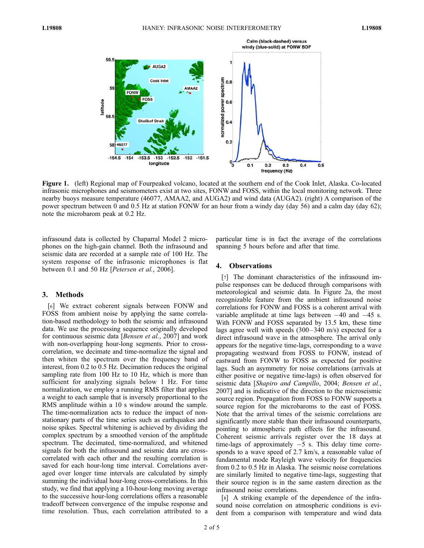

Figure 1. (left) Regional map of Fourpeaked volcano, located at the southern end of the Cook Inlet, Alaska. Co-located infrasonic microphones and seismometers exist at two sites, FONW and FOSS, within the local monitoring network. Three nearby buoys measure temperature (46077, AMAA2, and AUGA2) and wind data (AUGA2). (right) A comparison of the power spectrum between 0 and 0.5 Hz at station FONW for an hour from a windy day (day 56) and a calm day (day 62); note the microbarom peak at 0.2 Hz.

infrasound data is collected by Chaparral Model 2 microphones on the high-gain channel. Both the infrasound and seismic data are recorded at a sample rate of 100 Hz. The system response of the infrasonic microphones is flat between 0.1 and 50 Hz [Petersen et al., 2006].

#### 3. Methods

[6] We extract coherent signals between FONW and FOSS from ambient noise by applying the same correlation-based methodology to both the seismic and infrasound data. We use the processing sequence originally developed for continuous seismic data [Bensen et al., 2007] and work with non-overlapping hour-long segments. Prior to crosscorrelation, we decimate and time-normalize the signal and then whiten the spectrum over the frequency band of interest, from 0.2 to 0.5 Hz. Decimation reduces the original sampling rate from 100 Hz to 10 Hz, which is more than sufficient for analyzing signals below 1 Hz. For time normalization, we employ a running RMS filter that applies a weight to each sample that is inversely proportional to the RMS amplitude within a 10 s window around the sample. The time-normalization acts to reduce the impact of nonstationary parts of the time series such as earthquakes and noise spikes. Spectral whitening is achieved by dividing the complex spectrum by a smoothed version of the amplitude spectrum. The decimated, time-normalized, and whitened signals for both the infrasound and seismic data are crosscorrelated with each other and the resulting correlation is saved for each hour-long time interval. Correlations averaged over longer time intervals are calculated by simply summing the individual hour-long cross-correlations. In this study, we find that applying a 10-hour-long moving average to the successive hour-long correlations offers a reasonable tradeoff between convergence of the impulse response and time resolution. Thus, each correlation attributed to a

particular time is in fact the average of the correlations spanning 5 hours before and after that time.

### 4. Observations

[7] The dominant characteristics of the infrasound impulse responses can be deduced through comparisons with meteorological and seismic data. In Figure 2a, the most recognizable feature from the ambient infrasound noise correlations for FONW and FOSS is a coherent arrival with variable amplitude at time lags between  $-40$  and  $-45$  s. With FONW and FOSS separated by 13.5 km, these time lags agree well with speeds  $(300-340 \text{ m/s})$  expected for a direct infrasound wave in the atmosphere. The arrival only appears for the negative time-lags, corresponding to a wave propagating westward from FOSS to FONW, instead of eastward from FONW to FOSS as expected for positive lags. Such an asymmetry for noise correlations (arrivals at either positive or negative time-lags) is often observed for seismic data [Shapiro and Campillo, 2004; Bensen et al., 2007] and is indicative of the direction to the microseismic source region. Propagation from FOSS to FONW supports a source region for the microbaroms to the east of FOSS. Note that the arrival times of the seismic correlations are significantly more stable than their infrasound counterparts, pointing to atmospheric path effects for the infrasound. Coherent seismic arrivals register over the 18 days at time-lags of approximately  $-5$  s. This delay time corresponds to a wave speed of 2.7 km/s, a reasonable value of fundamental mode Rayleigh wave velocity for frequencies from 0.2 to 0.5 Hz in Alaska. The seismic noise correlations are similarly limited to negative time-lags, suggesting that their source region is in the same eastern direction as the infrasound noise correlations.

[8] A striking example of the dependence of the infrasound noise correlation on atmospheric conditions is evident from a comparison with temperature and wind data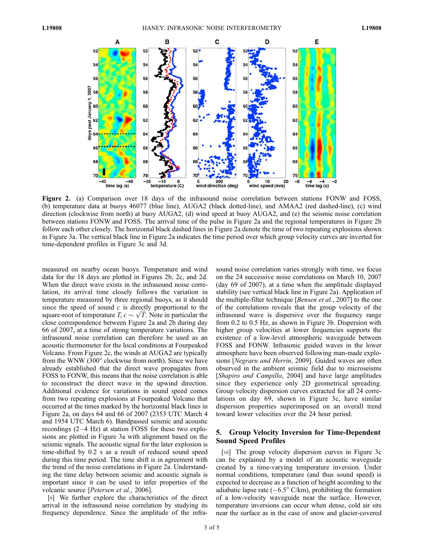

Figure 2. (a) Comparison over 18 days of the infrasound noise correlation between stations FONW and FOSS, (b) temperature data at buoys 46077 (blue line), AUGA2 (black dotted-line), and AMAA2 (red dashed-line), (c) wind direction (clockwise from north) at buoy AUGA2, (d) wind speed at buoy AUGA2, and (e) the seismic noise correlation between stations FONW and FOSS. The arrival time of the pulse in Figure 2a and the regional temperatures in Figure 2b follow each other closely. The horizontal black dashed lines in Figure 2a denote the time of two repeating explosions shown in Figure 3a. The vertical black line in Figure 2a indicates the time period over which group velocity curves are inverted for time-dependent profiles in Figure 3c and 3d.

measured on nearby ocean buoys. Temperature and wind data for the 18 days are plotted in Figures 2b, 2c, and 2d. When the direct wave exists in the infrasound noise correlation, its arrival time closely follows the variation in temperature measured by three regional buoys, as it should since the speed of sound  $c$  is directly proportional to the since the speed of sound c is directly proportional to the square-root of temperature  $T, c \sim \sqrt{T}$ . Note in particular the close correspondence between Figure 2a and 2b during day 66 of 2007, at a time of strong temperature variations. The infrasound noise correlation can therefore be used as an acoustic thermometer for the local conditions at Fourpeaked Volcano. From Figure 2c, the winds at AUGA2 are typically from the WNW (300° clockwise from north). Since we have already established that the direct wave propagates from FOSS to FONW, this means that the noise correlation is able to reconstruct the direct wave in the upwind direction. Additional evidence for variations in sound speed comes from two repeating explosions at Fourpeaked Volcano that occurred at the times marked by the horizontal black lines in Figure 2a, on days 64 and 66 of 2007 (2353 UTC March 4 and 1954 UTC March 6). Bandpassed seismic and acoustic recordings  $(2-4 Hz)$  at station FOSS for these two explosions are plotted in Figure 3a with alignment based on the seismic signals. The acoustic signal for the later explosion is time-shifted by 0.2 s as a result of reduced sound speed during this time period. The time shift is in agreement with the trend of the noise correlations in Figure 2a. Understanding the time delay between seismic and acoustic signals is important since it can be used to infer properties of the volcanic source [Petersen et al., 2006].

[9] We further explore the characteristics of the direct arrival in the infrasound noise correlation by studying its frequency dependence. Since the amplitude of the infra-

sound noise correlation varies strongly with time, we focus on the 24 successive noise correlations on March 10, 2007 (day 69 of 2007), at a time when the amplitude displayed stability (see vertical black line in Figure 2a). Application of the multiple-filter technique [*Bensen et al.*, 2007] to the one of the correlations reveals that the group velocity of the infrasound wave is dispersive over the frequency range from 0.2 to 0.5 Hz, as shown in Figure 3b. Dispersion with higher group velocities at lower frequencies supports the existence of a low-level atmospheric waveguide between FOSS and FONW. Infrasonic guided waves in the lower atmosphere have been observed following man-made explosions [Negraru and Herrin, 2009]. Guided waves are often observed in the ambient seismic field due to microseisms [Shapiro and Campillo, 2004] and have large amplitudes since they experience only 2D geometrical spreading. Group velocity dispersion curves extracted for all 24 correlations on day 69, shown in Figure 3c, have similar dispersion properties superimposed on an overall trend toward lower velocities over the 24 hour period.

#### 5. Group Velocity Inversion for Time-Dependent Sound Speed Profiles

[10] The group velocity dispersion curves in Figure 3c can be explained by a model of an acoustic waveguide created by a time-varying temperature inversion. Under normal conditions, temperature (and thus sound speed) is expected to decrease as a function of height according to the adiabatic lapse rate  $(-6.5^{\circ} \text{ C/km})$ , prohibiting the formation of a low-velocity waveguide near the surface. However, temperature inversions can occur when dense, cold air sits near the surface as in the case of snow and glacier-covered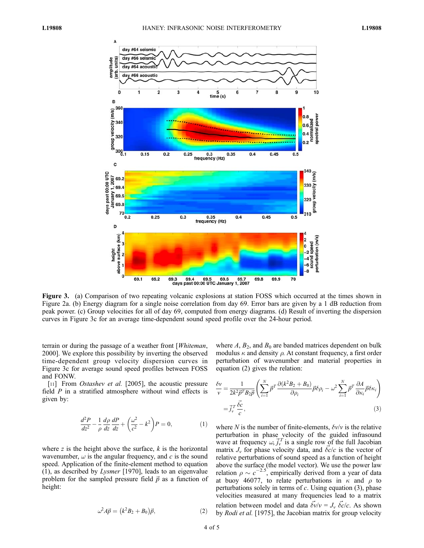

Figure 3. (a) Comparison of two repeating volcanic explosions at station FOSS which occurred at the times shown in Figure 2a. (b) Energy diagram for a single noise correlation from day 69. Error bars are given by a 1 dB reduction from peak power. (c) Group velocities for all of day 69, computed from energy diagrams. (d) Result of inverting the dispersion curves in Figure 3c for an average time-dependent sound speed profile over the 24-hour period.

terrain or during the passage of a weather front [Whiteman, 2000]. We explore this possibility by inverting the observed time-dependent group velocity dispersion curves in Figure 3c for average sound speed profiles between FOSS and FONW.

[11] From *Ostashev et al.* [2005], the acoustic pressure field  $P$  in a stratified atmosphere without wind effects is given by:

$$
\frac{d^2P}{dz^2} - \frac{1}{\rho} \frac{d\rho}{dz} \frac{dP}{dz} + \left(\frac{\omega^2}{c^2} - k^2\right) P = 0, \tag{1}
$$

where  $z$  is the height above the surface,  $k$  is the horizontal wavenumber,  $\omega$  is the angular frequency, and c is the sound speed. Application of the finite-element method to equation (1), as described by Lysmer [1970], leads to an eigenvalue problem for the sampled pressure field  $\vec{p}$  as a function of height:

$$
\omega^2 A \vec{p} = (k^2 B_2 + B_0) \vec{p}, \qquad (2)
$$

where  $A$ ,  $B_2$ , and  $B_0$  are banded matrices dependent on bulk modulus  $\kappa$  and density  $\rho$ . At constant frequency, a first order perturbation of wavenumber and material properties in equation (2) gives the relation:

$$
\frac{\delta v}{v} = \frac{1}{2k^2 \vec{p}^T B_2 \vec{p}} \left( \sum_{i=1}^N \vec{p}^T \frac{\partial (k^2 B_2 + B_0)}{\partial \rho_i} \vec{p} \delta \rho_i - \omega^2 \sum_{i=1}^N \vec{p}^T \frac{\partial A}{\partial \kappa_i} \vec{p} \delta \kappa_i \right)
$$

$$
= \vec{J}_v^T \frac{\vec{\delta c}}{c},
$$
(3)

where N is the number of finite-elements,  $\delta v/v$  is the relative perturbation in phase velocity of the guided infrasound wave at frequency  $\omega$ ,  $\vec{j}_y^T$  is a single row of the full Jacobian matrix  $J_v$  for phase velocity data, and  $\vec{c}c/c$  is the vector of relative perturbations of sound speed as a function of height above the surface (the model vector). We use the power law relation  $\rho \sim c^{-2.5}$ , empirically derived from a year of data at buoy 46077, to relate perturbations in  $\kappa$  and  $\rho$  to perturbations solely in terms of  $c$ . Using equation  $(3)$ , phase velocities measured at many frequencies lead to a matrix relation between model and data  $\vec{\delta v}/v = J_v \vec{\delta c}/c$ . As shown by Rodi et al. [1975], the Jacobian matrix for group velocity